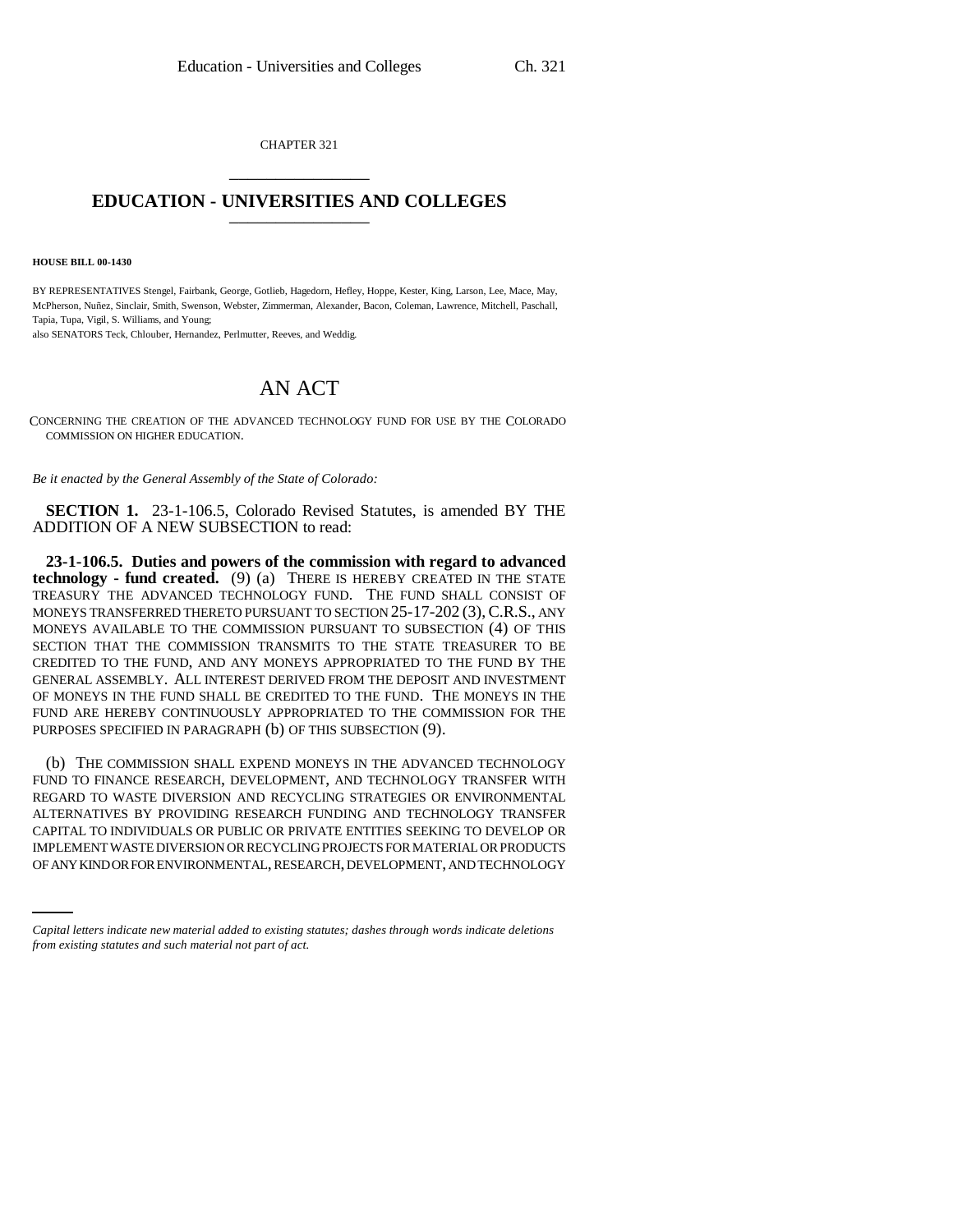CHAPTER 321 \_\_\_\_\_\_\_\_\_\_\_\_\_\_\_

## **EDUCATION - UNIVERSITIES AND COLLEGES** \_\_\_\_\_\_\_\_\_\_\_\_\_\_\_

**HOUSE BILL 00-1430** 

BY REPRESENTATIVES Stengel, Fairbank, George, Gotlieb, Hagedorn, Hefley, Hoppe, Kester, King, Larson, Lee, Mace, May, McPherson, Nuñez, Sinclair, Smith, Swenson, Webster, Zimmerman, Alexander, Bacon, Coleman, Lawrence, Mitchell, Paschall, Tapia, Tupa, Vigil, S. Williams, and Young;

also SENATORS Teck, Chlouber, Hernandez, Perlmutter, Reeves, and Weddig.

## AN ACT

CONCERNING THE CREATION OF THE ADVANCED TECHNOLOGY FUND FOR USE BY THE COLORADO COMMISSION ON HIGHER EDUCATION.

*Be it enacted by the General Assembly of the State of Colorado:*

**SECTION 1.** 23-1-106.5, Colorado Revised Statutes, is amended BY THE ADDITION OF A NEW SUBSECTION to read:

**23-1-106.5. Duties and powers of the commission with regard to advanced technology - fund created.** (9) (a) THERE IS HEREBY CREATED IN THE STATE TREASURY THE ADVANCED TECHNOLOGY FUND. THE FUND SHALL CONSIST OF MONEYS TRANSFERRED THERETO PURSUANT TO SECTION 25-17-202 (3),C.R.S., ANY MONEYS AVAILABLE TO THE COMMISSION PURSUANT TO SUBSECTION (4) OF THIS SECTION THAT THE COMMISSION TRANSMITS TO THE STATE TREASURER TO BE CREDITED TO THE FUND, AND ANY MONEYS APPROPRIATED TO THE FUND BY THE GENERAL ASSEMBLY. ALL INTEREST DERIVED FROM THE DEPOSIT AND INVESTMENT OF MONEYS IN THE FUND SHALL BE CREDITED TO THE FUND. THE MONEYS IN THE FUND ARE HEREBY CONTINUOUSLY APPROPRIATED TO THE COMMISSION FOR THE PURPOSES SPECIFIED IN PARAGRAPH (b) OF THIS SUBSECTION (9).

CAPITAL TO INDIVIDUALS OR PUBLIC OR PRIVATE ENTITIES SEEKING TO DEVELOP OR (b) THE COMMISSION SHALL EXPEND MONEYS IN THE ADVANCED TECHNOLOGY FUND TO FINANCE RESEARCH, DEVELOPMENT, AND TECHNOLOGY TRANSFER WITH REGARD TO WASTE DIVERSION AND RECYCLING STRATEGIES OR ENVIRONMENTAL ALTERNATIVES BY PROVIDING RESEARCH FUNDING AND TECHNOLOGY TRANSFER IMPLEMENT WASTE DIVERSION OR RECYCLING PROJECTS FOR MATERIAL OR PRODUCTS OF ANY KIND OR FOR ENVIRONMENTAL, RESEARCH, DEVELOPMENT, AND TECHNOLOGY

*Capital letters indicate new material added to existing statutes; dashes through words indicate deletions from existing statutes and such material not part of act.*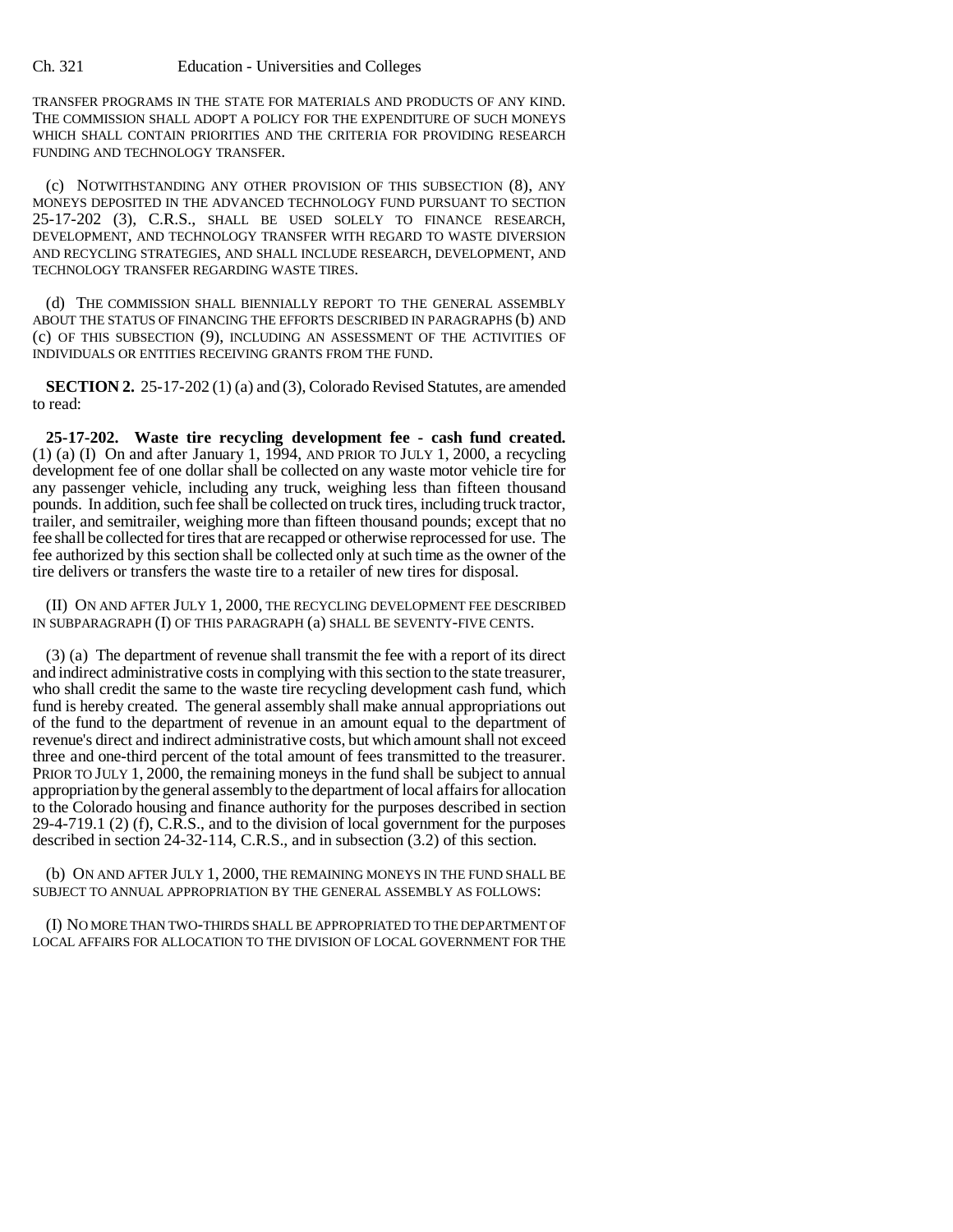Ch. 321 Education - Universities and Colleges

TRANSFER PROGRAMS IN THE STATE FOR MATERIALS AND PRODUCTS OF ANY KIND. THE COMMISSION SHALL ADOPT A POLICY FOR THE EXPENDITURE OF SUCH MONEYS WHICH SHALL CONTAIN PRIORITIES AND THE CRITERIA FOR PROVIDING RESEARCH FUNDING AND TECHNOLOGY TRANSFER.

(c) NOTWITHSTANDING ANY OTHER PROVISION OF THIS SUBSECTION (8), ANY MONEYS DEPOSITED IN THE ADVANCED TECHNOLOGY FUND PURSUANT TO SECTION 25-17-202 (3), C.R.S., SHALL BE USED SOLELY TO FINANCE RESEARCH, DEVELOPMENT, AND TECHNOLOGY TRANSFER WITH REGARD TO WASTE DIVERSION AND RECYCLING STRATEGIES, AND SHALL INCLUDE RESEARCH, DEVELOPMENT, AND TECHNOLOGY TRANSFER REGARDING WASTE TIRES.

(d) THE COMMISSION SHALL BIENNIALLY REPORT TO THE GENERAL ASSEMBLY ABOUT THE STATUS OF FINANCING THE EFFORTS DESCRIBED IN PARAGRAPHS (b) AND (c) OF THIS SUBSECTION (9), INCLUDING AN ASSESSMENT OF THE ACTIVITIES OF INDIVIDUALS OR ENTITIES RECEIVING GRANTS FROM THE FUND.

**SECTION 2.** 25-17-202 (1) (a) and (3), Colorado Revised Statutes, are amended to read:

**25-17-202. Waste tire recycling development fee - cash fund created.** (1) (a) (I) On and after January 1, 1994, AND PRIOR TO JULY 1, 2000, a recycling development fee of one dollar shall be collected on any waste motor vehicle tire for any passenger vehicle, including any truck, weighing less than fifteen thousand pounds. In addition, such fee shall be collected on truck tires, including truck tractor, trailer, and semitrailer, weighing more than fifteen thousand pounds; except that no fee shall be collected for tires that are recapped or otherwise reprocessed for use. The fee authorized by this section shall be collected only at such time as the owner of the tire delivers or transfers the waste tire to a retailer of new tires for disposal.

(II) ON AND AFTER JULY 1, 2000, THE RECYCLING DEVELOPMENT FEE DESCRIBED IN SUBPARAGRAPH (I) OF THIS PARAGRAPH (a) SHALL BE SEVENTY-FIVE CENTS.

(3) (a) The department of revenue shall transmit the fee with a report of its direct and indirect administrative costs in complying with this section to the state treasurer, who shall credit the same to the waste tire recycling development cash fund, which fund is hereby created. The general assembly shall make annual appropriations out of the fund to the department of revenue in an amount equal to the department of revenue's direct and indirect administrative costs, but which amount shall not exceed three and one-third percent of the total amount of fees transmitted to the treasurer. PRIOR TO JULY 1, 2000, the remaining moneys in the fund shall be subject to annual appropriation by the general assembly to the department of local affairs for allocation to the Colorado housing and finance authority for the purposes described in section 29-4-719.1 (2) (f), C.R.S., and to the division of local government for the purposes described in section 24-32-114, C.R.S., and in subsection (3.2) of this section.

(b) ON AND AFTER JULY 1, 2000, THE REMAINING MONEYS IN THE FUND SHALL BE SUBJECT TO ANNUAL APPROPRIATION BY THE GENERAL ASSEMBLY AS FOLLOWS:

(I) NO MORE THAN TWO-THIRDS SHALL BE APPROPRIATED TO THE DEPARTMENT OF LOCAL AFFAIRS FOR ALLOCATION TO THE DIVISION OF LOCAL GOVERNMENT FOR THE